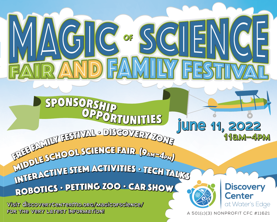$\overline{D}$ SPONSORS <sup>O</sup>PPORTUNITIE<sup>S</sup> <sup>O</sup>PPORTUNITIE<sup>S</sup> **JUNE 11, 2022 JUNE 11, 2022** FREE FAMILY FESTIVAL • DISCOVERY ZONE <sup>I</sup>DDL<sup>E</sup> <sup>S</sup>CHOO<sup>L</sup> <sup>S</sup>CIENC<sup>E</sup> <sup>F</sup>AI<sup>R</sup> (9<sup>A</sup>M–4<sup>p</sup>m) MDDLE SCHOOL SCIENCE FAIR (9AM–4pm) <sup>I</sup>NTERACTIV<sup>E</sup> <sup>S</sup>TE<sup>M</sup> <sup>A</sup>CTIVITIE<sup>S</sup> • <sup>T</sup>EC<sup>H</sup> <sup>T</sup>ALK<sup>S</sup> <sup>I</sup>NTERACTIV<sup>E</sup> <sup>S</sup>TE<sup>M</sup> <sup>A</sup>CTIVITIE<sup>S</sup> • <sup>T</sup>EC<sup>H</sup> <sup>T</sup>ALK<sup>S</sup> <sup>R</sup>OBOTIC<sup>S</sup> • <sup>P</sup>ETTIN<sup>G</sup> <sup>Z</sup>O<sup>O</sup> • <sup>c</sup>a<sup>r</sup> <sup>s</sup>ho<sup>w</sup>

 $G\left( \frac{1}{2} \right)$ 

**Visit DiscoveryCenterMd.org/magicofscience/ Visit DiscoveryCenterMd.org/magicofscience/ for the very latest information! for the very latest information!**



**Discovery Center** at Water's Edge

**11am–4pm 11am–4pm**

A 501(c)(3) NONPROFIT CFC #11621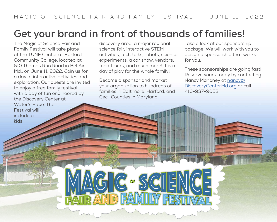## **Get your brand in front of thousands of families!**

The Magic of Science Fair and Family Festival will take place at the TUNE Center at Harford Community College, located at 510 Thomas Run Road in Bel Air, Md., on June 11, 2022. Join us for a day of interactive activities and exploration. Our guests are invited to enjoy a free family festival with a day of fun engineered by the Discovery Center at Water's Edge. The Festival will include a kids

discovery area, a major regional science fair, interactive STEM activities, tech talks, robots, science experiments, a car show, vendors, food trucks, and much more! It is a day of play for the whole family!

Become a sponsor and market your organization to hundreds of families in Baltimore, Harford, and Cecil Counties in Maryland.

**C** or SCIIE

Take a look at our sponsorship package. We will work with you to design a sponsorship that works for you.

These sponsorships are going fast! Reserve yours today by contacting Nancy Mahoney at [nancy@](mailto:nancy%40DiscoveryCenterMd.org?subject=MoSFaFF%20Sponsorship%20Question) [DiscoveryCenterMd.org](mailto:nancy%40DiscoveryCenterMd.org?subject=MoSFaFF%20Sponsorship%20Question) or call 410-937-9053.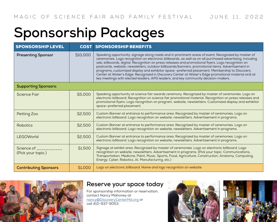## **Sponsorship Packages**

| <b>SPONSORSHIP LEVEL</b>         |          | <b>COST SPONSORSHIP BENEFITS</b>                                                                                                                                                                                                                                                                                                                                                                                                                                                                                                                                                                                                                                                                                         |
|----------------------------------|----------|--------------------------------------------------------------------------------------------------------------------------------------------------------------------------------------------------------------------------------------------------------------------------------------------------------------------------------------------------------------------------------------------------------------------------------------------------------------------------------------------------------------------------------------------------------------------------------------------------------------------------------------------------------------------------------------------------------------------------|
| <b>Presenting Sponsor</b>        | \$10,000 | Speaking opportunity, signage along roads and in prominent areas of event. Recognized by master of<br>ceremonies. Logo recognition on electronic billboards, as well as on all purchased advertising, including<br>ads, billboards, digital. Recognition on press releases and promotional flyers. Logo recognition on<br>postcards, website, newsletters, outdoor billboards/banners, promotional items. Advertisement in<br>programs, customized display and exhibitor space -preferred placement. Membership to Discovery<br>Center at Water's Edge. Recognized in Discovery Center at Water's Edge promotional material and at<br>key meetings with elected leaders, APG leaders, and key community decision-makers. |
| <b>Supporting Sponsors:</b>      |          |                                                                                                                                                                                                                                                                                                                                                                                                                                                                                                                                                                                                                                                                                                                          |
| Science Fair                     | \$5,000  | Speaking opportunity at science fair awards ceremony. Recognized by master of ceremonies. Logo on<br>electronic billboard. Recognition on science fair promotional material. Recognition on press releases and<br>promotional flyers. Logo recognition on program, website, newsletters. Customized display and exhibitor<br>space-preferred placement.                                                                                                                                                                                                                                                                                                                                                                  |
| Petting Zoo                      | \$2,500  | Custom Banner at entrance to performance area. Recognized by master of ceremonies. Logo on<br>electronic billboard. Logo recognition on website, newsletters. Advertisement in programs.                                                                                                                                                                                                                                                                                                                                                                                                                                                                                                                                 |
| Robotics                         | \$2,500  | Custom Banner at entrance to performance area. Recognized by master of ceremonies. Logo on<br>electronic billboard. Logo recognition on website, newsletters. Advertisement in programs.                                                                                                                                                                                                                                                                                                                                                                                                                                                                                                                                 |
| <b>LEGOWorld</b>                 | \$2,500  | Custom Banner at entrance to performance area. Recognized by master of ceremonies. Logo on<br>electronic billboard. Logo recognition on website, newsletters. Advertisement in programs.                                                                                                                                                                                                                                                                                                                                                                                                                                                                                                                                 |
| Science of<br>(Pick your topic.) | \$1,500  | Signage at exhibit area. Recognized by master of ceremonies. Logo on electronic billboard. Logo<br>recognition on website, newsletters. Advertisement in programs. (Pick your topic: Communications,<br>Transportation, Medicine, Paint, Music, Sports, Food, Agriculture, Construction, Anatomy, Computing,<br>Energy, Cyber, Robotics, AI, Manufacturing, etc.)                                                                                                                                                                                                                                                                                                                                                        |
| <b>Contributing Sponsors</b>     | \$1,000  | Logo on electronic billboard. Name and logo recognition on website.                                                                                                                                                                                                                                                                                                                                                                                                                                                                                                                                                                                                                                                      |



## **Reserve your space today**

For sponsorship information or reservation, contact Nancy Mahoney at nancy@DiscoveryCenterMd.org or call 410-937-9053.